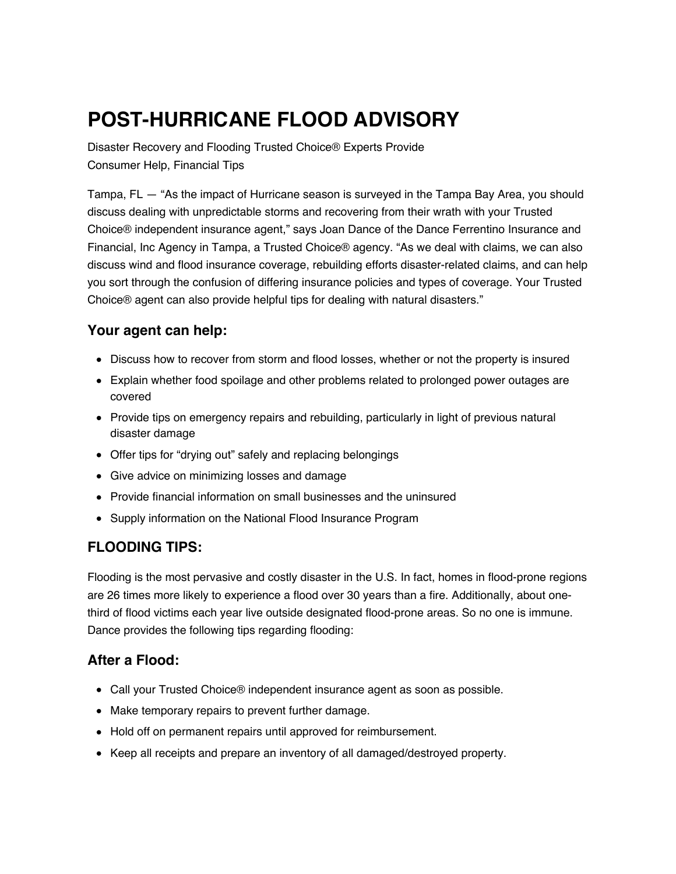# **POST-HURRICANE FLOOD ADVISORY**

Disaster Recovery and Flooding Trusted Choice® Experts Provide Consumer Help, Financial Tips

Tampa, FL — "As the impact of Hurricane season is surveyed in the Tampa Bay Area, you should discuss dealing with unpredictable storms and recovering from their wrath with your Trusted Choice® independent insurance agent," says Joan Dance of the Dance Ferrentino Insurance and Financial, Inc Agency in Tampa, a Trusted Choice® agency. "As we deal with claims, we can also discuss wind and flood insurance coverage, rebuilding efforts disaster-related claims, and can help you sort through the confusion of differing insurance policies and types of coverage. Your Trusted Choice® agent can also provide helpful tips for dealing with natural disasters."

## **Your agent can help:**

- Discuss how to recover from storm and flood losses, whether or not the property is insured
- Explain whether food spoilage and other problems related to prolonged power outages are covered
- Provide tips on emergency repairs and rebuilding, particularly in light of previous natural disaster damage
- Offer tips for "drying out" safely and replacing belongings
- Give advice on minimizing losses and damage
- Provide financial information on small businesses and the uninsured
- Supply information on the National Flood Insurance Program

## **FLOODING TIPS:**

Flooding is the most pervasive and costly disaster in the U.S. In fact, homes in flood-prone regions are 26 times more likely to experience a flood over 30 years than a fire. Additionally, about onethird of flood victims each year live outside designated flood-prone areas. So no one is immune. Dance provides the following tips regarding flooding:

## **After a Flood:**

- Call your Trusted Choice<sup>®</sup> independent insurance agent as soon as possible.
- Make temporary repairs to prevent further damage.
- Hold off on permanent repairs until approved for reimbursement.
- Keep all receipts and prepare an inventory of all damaged/destroyed property.